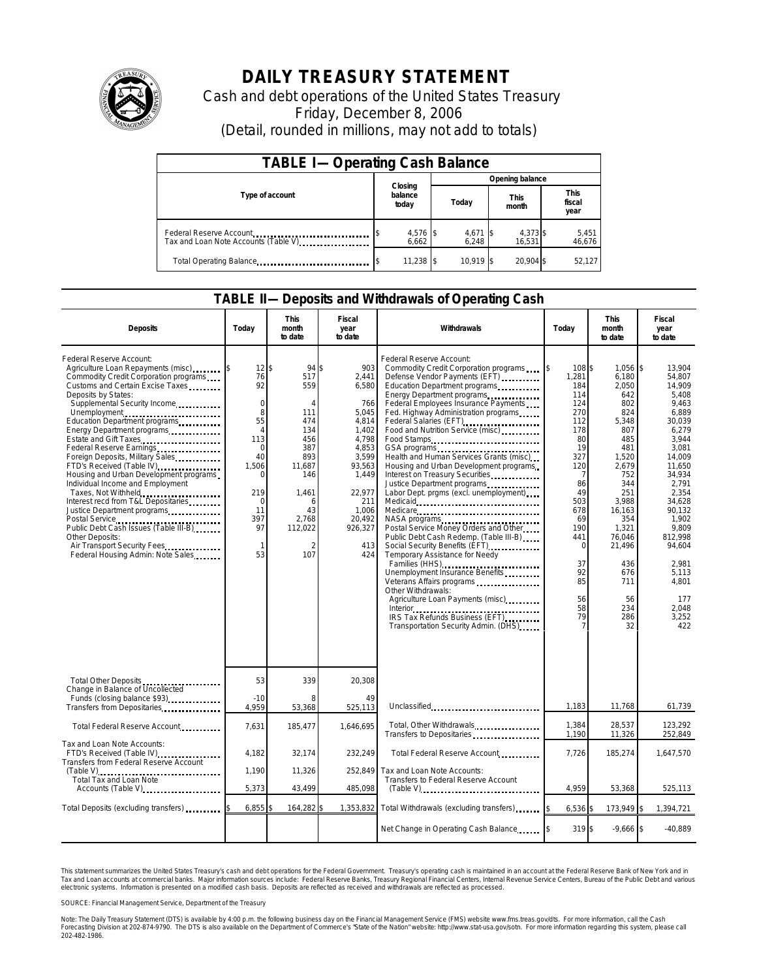

## **DAILY TREASURY STATEMENT**

Cash and debt operations of the United States Treasury Friday, December 8, 2006 (Detail, rounded in millions, may not add to totals)

| <b>TABLE I-Operating Cash Balance</b>                           |                             |                   |                      |                               |  |  |  |  |
|-----------------------------------------------------------------|-----------------------------|-------------------|----------------------|-------------------------------|--|--|--|--|
|                                                                 |                             | Opening balance   |                      |                               |  |  |  |  |
| Type of account                                                 | Closing<br>balance<br>today | Today             | <b>This</b><br>month | <b>This</b><br>fiscal<br>year |  |  |  |  |
| Federal Reserve Account<br>Tax and Loan Note Accounts (Table V) | 4,576 \$<br>6.662           | 4,671 \$<br>6.248 | 4,373 \$<br>16,531   | 5,451<br>46,676               |  |  |  |  |
| Total Operating Balance                                         | $11,238$ \$                 | 10.919 \$         | 20.904 \$            | 52.127                        |  |  |  |  |

## **TABLE II—Deposits and Withdrawals of Operating Cash**

| <b>Deposits</b>                                                                                                                                                                                                                                                                                                                                                                                                                                                                                                                                                                                                                                                                                                     | Todav                                                                                                                                                                       | <b>This</b><br>month<br>to date                                                                                                              | Fiscal<br>year<br>to date                                                                                                                                                | Withdrawals                                                                                                                                                                                                                                                                                                                                                                                                                                                                                                                                                                                                                                                                                                                                                                                                                                                                                                                                                | Today                                                                                                                                                                                         | <b>This</b><br>month<br>to date                                                                                                                                                                                              | Fiscal<br>year<br>to date                                                                                                                                                                                                                                        |  |
|---------------------------------------------------------------------------------------------------------------------------------------------------------------------------------------------------------------------------------------------------------------------------------------------------------------------------------------------------------------------------------------------------------------------------------------------------------------------------------------------------------------------------------------------------------------------------------------------------------------------------------------------------------------------------------------------------------------------|-----------------------------------------------------------------------------------------------------------------------------------------------------------------------------|----------------------------------------------------------------------------------------------------------------------------------------------|--------------------------------------------------------------------------------------------------------------------------------------------------------------------------|------------------------------------------------------------------------------------------------------------------------------------------------------------------------------------------------------------------------------------------------------------------------------------------------------------------------------------------------------------------------------------------------------------------------------------------------------------------------------------------------------------------------------------------------------------------------------------------------------------------------------------------------------------------------------------------------------------------------------------------------------------------------------------------------------------------------------------------------------------------------------------------------------------------------------------------------------------|-----------------------------------------------------------------------------------------------------------------------------------------------------------------------------------------------|------------------------------------------------------------------------------------------------------------------------------------------------------------------------------------------------------------------------------|------------------------------------------------------------------------------------------------------------------------------------------------------------------------------------------------------------------------------------------------------------------|--|
| Federal Reserve Account:<br>Agriculture Loan Repayments (misc)<br>Commodity Credit Corporation programs<br>Customs and Certain Excise Taxes<br>Deposits by States:<br>Supplemental Security Income<br>Unemployment<br>Education Department programs<br>Energy Department programs<br>Estate and Gift Taxes<br>Federal Reserve Earnings<br>Foreign Deposits, Military Sales<br>FTD's Received (Table IV)<br>Housing and Urban Development programs<br>Individual Income and Employment<br>Taxes, Not Withheld<br>Interest recd from T&L Depositaries<br>Justice Department programs<br>Public Debt Cash Issues (Table III-B)<br>Other Deposits:<br>Air Transport Security Fees.<br>Federal Housing Admin: Note Sales | $12$ $\bar{s}$<br>76<br>92<br>$\mathbf 0$<br>8<br>55<br>$\overline{4}$<br>113<br>$\mathbf 0$<br>40<br>1,506<br>$\Omega$<br>219<br>$\mathbf 0$<br>11<br>397<br>97<br>1<br>53 | 94<br>517<br>559<br>111<br>474<br>134<br>456<br>387<br>893<br>11,687<br>146<br>1,461<br>6<br>43<br>2.768<br>112,022<br>$\overline{2}$<br>107 | 903<br>\$<br>2.441<br>6.580<br>766<br>5.045<br>4.814<br>1.402<br>4.798<br>4,853<br>3,599<br>93,563<br>1.449<br>22,977<br>211<br>1.006<br>20.492<br>926,327<br>413<br>424 | Federal Reserve Account:<br>Commodity Credit Corporation programs<br>Defense Vendor Payments (EFT)<br>Education Department programs<br>Energy Department programs<br>Federal Employees Insurance Payments<br>Fed. Highway Administration programs<br>Federal Salaries (EFT)<br>Food and Nutrition Service (misc)<br>Food Stamps<br>GSA programs<br>Health and Human Services Grants (misc)<br>Housing and Urban Development programs<br>Interest on Treasury Securities<br>Justice Department programs<br>Labor Dept. prgms (excl. unemployment)<br>Medicare<br>NASA programs<br>Postal Service Money Orders and Other<br>Public Debt Cash Redemp. (Table III-B)<br>Social Security Benefits (EFT)<br>Temporary Assistance for Needy<br>Families (HHS)<br>Unemployment Insurance Benefits<br>Veterans Affairs programs<br>Other Withdrawals:<br>Agriculture Loan Payments (misc)<br>IRS Tax Refunds Business (EFT)<br>Transportation Security Admin. (DHS) | I\$<br>108\$<br>1,281<br>184<br>114<br>124<br>270<br>112<br>178<br>80<br>19<br>327<br>120<br>-7<br>86<br>49<br>503<br>678<br>69<br>190<br>441<br>$\Omega$<br>37<br>92<br>85<br>56<br>58<br>79 | $1.056$ \$<br>6,180<br>2.050<br>642<br>802<br>824<br>5,348<br>807<br>485<br>481<br>1,520<br>2,679<br>752<br>344<br>251<br>3,988<br>16,163<br>354<br>1,321<br>76,046<br>21,496<br>436<br>676<br>711<br>56<br>234<br>286<br>32 | 13.904<br>54.807<br>14.909<br>5.408<br>9.463<br>6.889<br>30.039<br>6.279<br>3.944<br>3,081<br>14.009<br>11.650<br>34.934<br>2,791<br>2.354<br>34.628<br>90.132<br>1.902<br>9.809<br>812.998<br>94.604<br>2,981<br>5.113<br>4.801<br>177<br>2,048<br>3,252<br>422 |  |
| Total Other Deposits                                                                                                                                                                                                                                                                                                                                                                                                                                                                                                                                                                                                                                                                                                | 53                                                                                                                                                                          | 339                                                                                                                                          | 20,308                                                                                                                                                                   |                                                                                                                                                                                                                                                                                                                                                                                                                                                                                                                                                                                                                                                                                                                                                                                                                                                                                                                                                            |                                                                                                                                                                                               |                                                                                                                                                                                                                              |                                                                                                                                                                                                                                                                  |  |
| Change in Balance of Uncollected<br>Funds (closing balance \$93)<br>Transfers from Depositaries                                                                                                                                                                                                                                                                                                                                                                                                                                                                                                                                                                                                                     | $-10$<br>4,959                                                                                                                                                              | 8<br>53,368                                                                                                                                  | 49<br>525,113                                                                                                                                                            | Unclassified                                                                                                                                                                                                                                                                                                                                                                                                                                                                                                                                                                                                                                                                                                                                                                                                                                                                                                                                               | 1,183                                                                                                                                                                                         | 11,768                                                                                                                                                                                                                       | 61,739                                                                                                                                                                                                                                                           |  |
| Total Federal Reserve Account                                                                                                                                                                                                                                                                                                                                                                                                                                                                                                                                                                                                                                                                                       | 7,631                                                                                                                                                                       | 185,477                                                                                                                                      | 1.646.695                                                                                                                                                                | Total, Other Withdrawals<br>Transfers to Depositaries                                                                                                                                                                                                                                                                                                                                                                                                                                                                                                                                                                                                                                                                                                                                                                                                                                                                                                      | 1,384<br>1,190                                                                                                                                                                                | 28,537<br>11,326                                                                                                                                                                                                             | 123,292<br>252,849                                                                                                                                                                                                                                               |  |
| Tax and Loan Note Accounts:<br>FTD's Received (Table IV)<br>Transfers from Federal Reserve Account                                                                                                                                                                                                                                                                                                                                                                                                                                                                                                                                                                                                                  | 4,182<br>1.190                                                                                                                                                              | 32,174<br>11,326                                                                                                                             | 232,249<br>252.849                                                                                                                                                       | Total Federal Reserve Account<br>Tax and Loan Note Accounts:                                                                                                                                                                                                                                                                                                                                                                                                                                                                                                                                                                                                                                                                                                                                                                                                                                                                                               | 7,726                                                                                                                                                                                         | 185,274                                                                                                                                                                                                                      | 1,647,570                                                                                                                                                                                                                                                        |  |
| Total Tax and Loan Note<br>Accounts (Table V)                                                                                                                                                                                                                                                                                                                                                                                                                                                                                                                                                                                                                                                                       | 5,373                                                                                                                                                                       | 43,499                                                                                                                                       | 485,098                                                                                                                                                                  | Transfers to Federal Reserve Account                                                                                                                                                                                                                                                                                                                                                                                                                                                                                                                                                                                                                                                                                                                                                                                                                                                                                                                       | 4.959                                                                                                                                                                                         | 53,368                                                                                                                                                                                                                       | 525,113                                                                                                                                                                                                                                                          |  |
| Total Deposits (excluding transfers)                                                                                                                                                                                                                                                                                                                                                                                                                                                                                                                                                                                                                                                                                | 6,855                                                                                                                                                                       | 164,282                                                                                                                                      | 1,353,832                                                                                                                                                                | Total Withdrawals (excluding transfers)                                                                                                                                                                                                                                                                                                                                                                                                                                                                                                                                                                                                                                                                                                                                                                                                                                                                                                                    | 6,536                                                                                                                                                                                         | 173,949 \$                                                                                                                                                                                                                   | 1,394,721                                                                                                                                                                                                                                                        |  |
|                                                                                                                                                                                                                                                                                                                                                                                                                                                                                                                                                                                                                                                                                                                     |                                                                                                                                                                             |                                                                                                                                              |                                                                                                                                                                          | Net Change in Operating Cash Balance                                                                                                                                                                                                                                                                                                                                                                                                                                                                                                                                                                                                                                                                                                                                                                                                                                                                                                                       | 319 \$                                                                                                                                                                                        | $-9,666$ \$                                                                                                                                                                                                                  | $-40.889$                                                                                                                                                                                                                                                        |  |

This statement summarizes the United States Treasury's cash and debt operations for the Federal Government. Treasury's operating cash is maintained in an account at the Federal Reserve Bank of New York and in<br>Tax and Loan narizes the United States Treasury's cash and debt operations for the Federal Government. Treasury's operating cash is maintained in an account at the Federal Reserve Bank of New York and in<br>ints at commercial banks. Major

SOURCE: Financial Management Service, Department of the Treasury

Note: The Daily Treasury Statement (DTS) is available by 4:00 p.m. the following business day on the Financial Management Service (FMS) website www.fms.treas.gov/dts. For more information, call the Cash<br>Forecasting Divisio 202-482-1986.